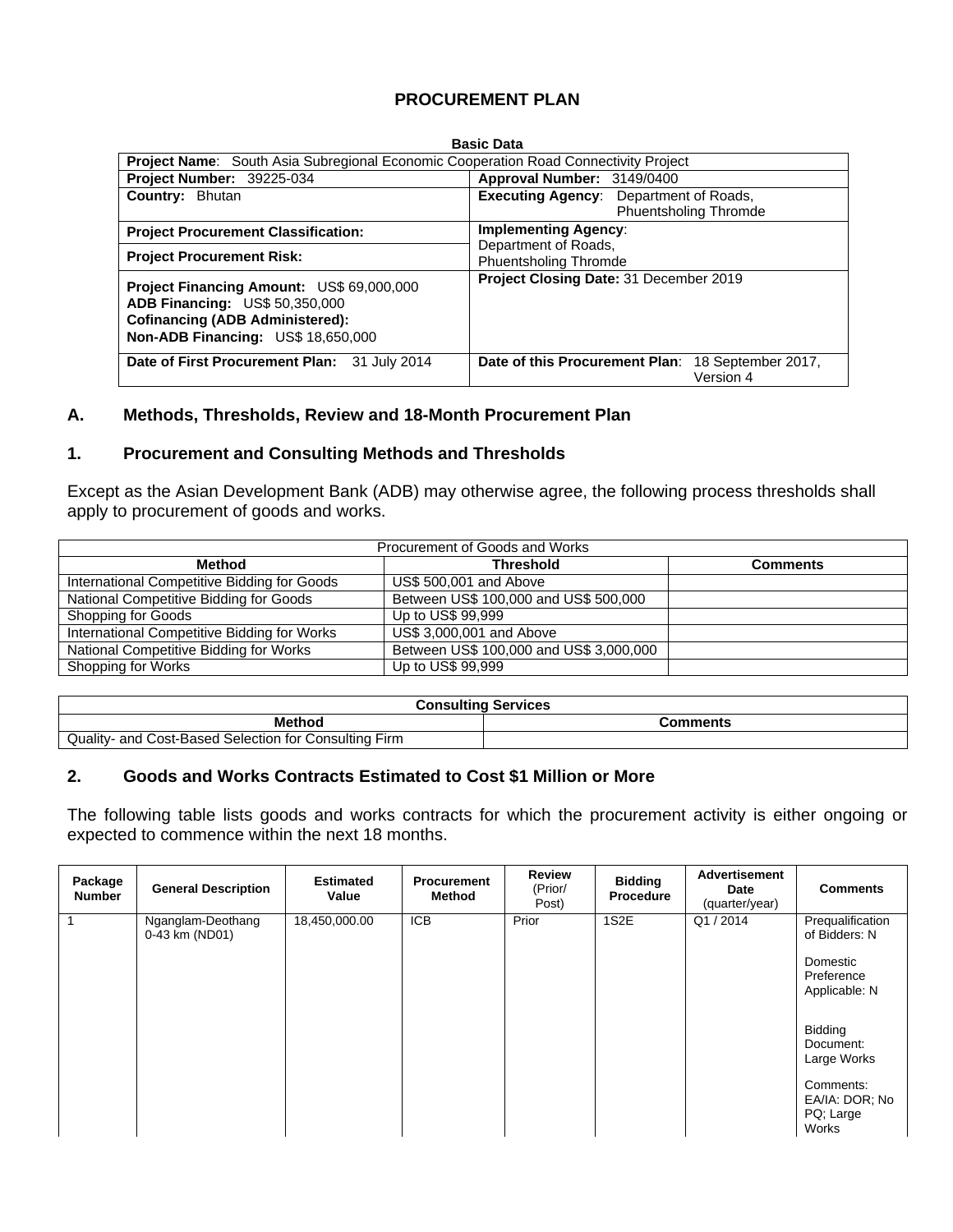## **PROCUREMENT PLAN**

#### **Basic Data**

| <b>Project Name:</b> South Asia Subregional Economic Cooperation Road Connectivity Project                                                                                |                                                                |  |  |  |  |  |
|---------------------------------------------------------------------------------------------------------------------------------------------------------------------------|----------------------------------------------------------------|--|--|--|--|--|
| Project Number: 39225-034                                                                                                                                                 | Approval Number: 3149/0400                                     |  |  |  |  |  |
| Country: Bhutan                                                                                                                                                           | <b>Executing Agency:</b> Department of Roads,                  |  |  |  |  |  |
|                                                                                                                                                                           | <b>Phuentsholing Thromde</b>                                   |  |  |  |  |  |
| <b>Project Procurement Classification:</b>                                                                                                                                | <b>Implementing Agency:</b>                                    |  |  |  |  |  |
| <b>Project Procurement Risk:</b>                                                                                                                                          | Department of Roads,<br><b>Phuentsholing Thromde</b>           |  |  |  |  |  |
| Project Financing Amount: US\$ 69,000,000<br><b>ADB Financing: US\$ 50,350,000</b><br><b>Cofinancing (ADB Administered):</b><br><b>Non-ADB Financing: US\$ 18,650,000</b> | Project Closing Date: 31 December 2019                         |  |  |  |  |  |
| Date of First Procurement Plan: 31 July 2014                                                                                                                              | Date of this Procurement Plan: 18 September 2017,<br>Version 4 |  |  |  |  |  |

#### **A. Methods, Thresholds, Review and 18-Month Procurement Plan**

#### **1. Procurement and Consulting Methods and Thresholds**

Except as the Asian Development Bank (ADB) may otherwise agree, the following process thresholds shall apply to procurement of goods and works.

| Procurement of Goods and Works              |                                         |                 |  |  |  |  |  |  |
|---------------------------------------------|-----------------------------------------|-----------------|--|--|--|--|--|--|
| <b>Method</b>                               | <b>Threshold</b>                        | <b>Comments</b> |  |  |  |  |  |  |
| International Competitive Bidding for Goods | US\$ 500,001 and Above                  |                 |  |  |  |  |  |  |
| National Competitive Bidding for Goods      | Between US\$ 100,000 and US\$ 500,000   |                 |  |  |  |  |  |  |
| Shopping for Goods                          | Up to US\$ 99,999                       |                 |  |  |  |  |  |  |
| International Competitive Bidding for Works | US\$ 3,000,001 and Above                |                 |  |  |  |  |  |  |
| National Competitive Bidding for Works      | Between US\$ 100,000 and US\$ 3,000,000 |                 |  |  |  |  |  |  |
| Shopping for Works                          | Up to US\$ 99,999                       |                 |  |  |  |  |  |  |

| <b>Consulting Services</b>                                 |          |  |  |  |  |
|------------------------------------------------------------|----------|--|--|--|--|
| <b>Method</b>                                              | Comments |  |  |  |  |
| d Cost-Based Selection for Consulting Firm<br>Quality- and |          |  |  |  |  |

#### **2. Goods and Works Contracts Estimated to Cost \$1 Million or More**

The following table lists goods and works contracts for which the procurement activity is either ongoing or expected to commence within the next 18 months.

| Package<br>Number | <b>General Description</b>          | <b>Estimated</b><br>Value | <b>Procurement</b><br>Method | <b>Review</b><br>(Prior/<br>Post) | <b>Bidding</b><br><b>Procedure</b> | <b>Advertisement</b><br>Date<br>(quarter/year) | <b>Comments</b>                                                              |
|-------------------|-------------------------------------|---------------------------|------------------------------|-----------------------------------|------------------------------------|------------------------------------------------|------------------------------------------------------------------------------|
|                   | Nganglam-Deothang<br>0-43 km (ND01) | 18,450,000.00             | <b>ICB</b>                   | Prior                             | 1S <sub>2</sub> E                  | Q1/2014                                        | Prequalification<br>of Bidders: N<br>Domestic<br>Preference<br>Applicable: N |
|                   |                                     |                           |                              |                                   |                                    |                                                | <b>Bidding</b><br>Document:<br>Large Works                                   |
|                   |                                     |                           |                              |                                   |                                    |                                                | Comments:<br>EA/IA: DOR: No<br>PQ; Large<br>Works                            |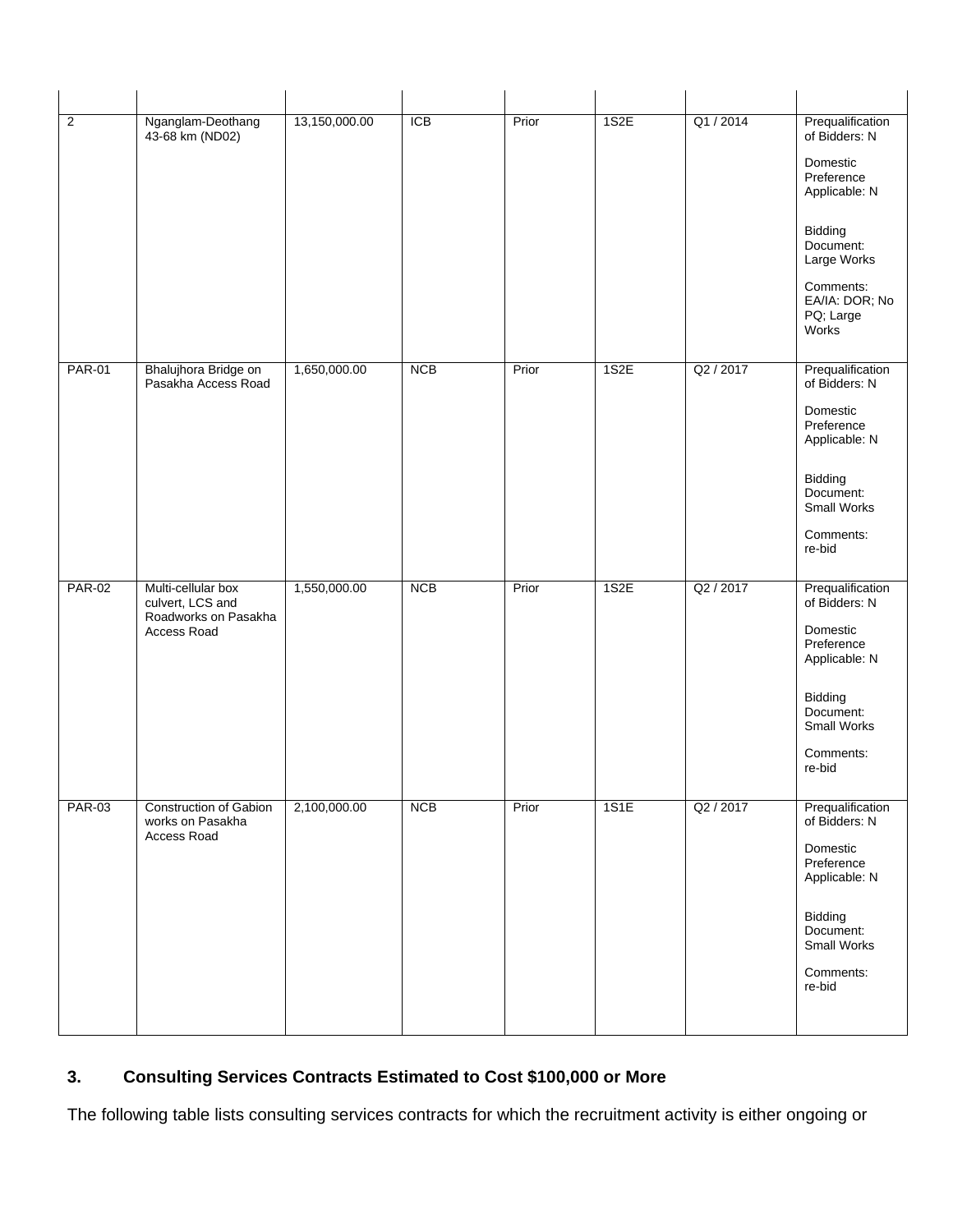| $\overline{2}$ | Nganglam-Deothang<br>43-68 km (ND02)                                          | 13,150,000.00 | ICB        | Prior | 1S2E | Q1/2014   | Prequalification<br>of Bidders: N<br>Domestic<br>Preference<br>Applicable: N<br>Bidding<br>Document:<br>Large Works<br>Comments:<br>EA/IA: DOR; No<br>PQ; Large<br>Works |
|----------------|-------------------------------------------------------------------------------|---------------|------------|-------|------|-----------|--------------------------------------------------------------------------------------------------------------------------------------------------------------------------|
| <b>PAR-01</b>  | Bhalujhora Bridge on<br>Pasakha Access Road                                   | 1,650,000.00  | <b>NCB</b> | Prior | 1S2E | Q2 / 2017 | Prequalification<br>of Bidders: N<br>Domestic<br>Preference<br>Applicable: N<br>Bidding<br>Document:<br>Small Works<br>Comments:<br>re-bid                               |
| <b>PAR-02</b>  | Multi-cellular box<br>culvert, LCS and<br>Roadworks on Pasakha<br>Access Road | 1,550,000.00  | <b>NCB</b> | Prior | 1S2E | Q2 / 2017 | Prequalification<br>of Bidders: N<br>Domestic<br>Preference<br>Applicable: N<br>Bidding<br>Document:<br>Small Works<br>Comments:<br>re-bid                               |
| <b>PAR-03</b>  | <b>Construction of Gabion</b><br>works on Pasakha<br>Access Road              | 2,100,000.00  | <b>NCB</b> | Prior | 1S1E | Q2 / 2017 | Prequalification<br>of Bidders: N<br>Domestic<br>Preference<br>Applicable: N<br>Bidding<br>Document:<br>Small Works<br>Comments:<br>re-bid                               |

# **3. Consulting Services Contracts Estimated to Cost \$100,000 or More**

The following table lists consulting services contracts for which the recruitment activity is either ongoing or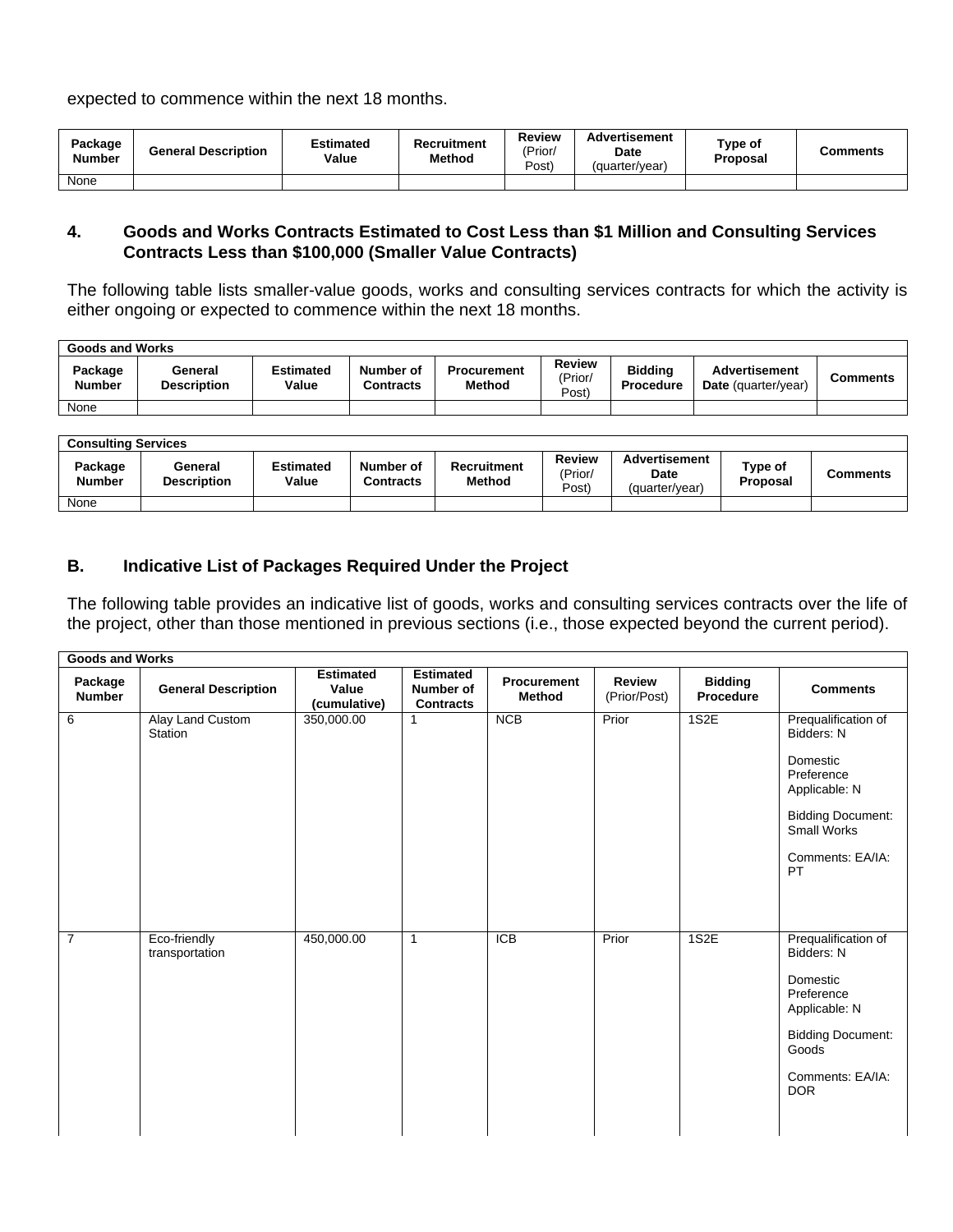expected to commence within the next 18 months.

| Package<br><b>Number</b> | <b>General Description</b> | Estimated<br>Value | Recruitment<br>Method | <b>Review</b><br>(Prior/<br>Post) | <b>Advertisement</b><br>Date<br>(quarter/year) | Type of<br>Proposal | Comments |
|--------------------------|----------------------------|--------------------|-----------------------|-----------------------------------|------------------------------------------------|---------------------|----------|
| None                     |                            |                    |                       |                                   |                                                |                     |          |

#### **4. Goods and Works Contracts Estimated to Cost Less than \$1 Million and Consulting Services Contracts Less than \$100,000 (Smaller Value Contracts)**

The following table lists smaller-value goods, works and consulting services contracts for which the activity is either ongoing or expected to commence within the next 18 months.

| Goods and Works          |                               |                           |                               |                                     |                                   |                                    |                                                    |          |  |  |  |
|--------------------------|-------------------------------|---------------------------|-------------------------------|-------------------------------------|-----------------------------------|------------------------------------|----------------------------------------------------|----------|--|--|--|
| Package<br><b>Number</b> | General<br><b>Description</b> | <b>Estimated</b><br>Value | Number of<br><b>Contracts</b> | <b>Procurement</b><br><b>Method</b> | <b>Review</b><br>(Prior/<br>Post) | <b>Biddina</b><br><b>Procedure</b> | <b>Advertisement</b><br><b>Date</b> (quarter/year) | Comments |  |  |  |
| None                     |                               |                           |                               |                                     |                                   |                                    |                                                    |          |  |  |  |

| <b>Consulting Services</b> |                               |                           |                               |                                     |                            |                                         |                            |                 |  |  |  |
|----------------------------|-------------------------------|---------------------------|-------------------------------|-------------------------------------|----------------------------|-----------------------------------------|----------------------------|-----------------|--|--|--|
| Package<br><b>Number</b>   | General<br><b>Description</b> | <b>Estimated</b><br>Value | Number of<br><b>Contracts</b> | <b>Recruitment</b><br><b>Method</b> | Review<br>'Prior/<br>Post) | Advertisement<br>Date<br>(quarter/year) | Type of<br><b>Proposal</b> | <b>Comments</b> |  |  |  |
| None                       |                               |                           |                               |                                     |                            |                                         |                            |                 |  |  |  |

## **B. Indicative List of Packages Required Under the Project**

The following table provides an indicative list of goods, works and consulting services contracts over the life of the project, other than those mentioned in previous sections (i.e., those expected beyond the current period).

| <b>Goods and Works</b>   |                                |                                           |                                                   |                              |                        |                             |                                                                                                                                                     |
|--------------------------|--------------------------------|-------------------------------------------|---------------------------------------------------|------------------------------|------------------------|-----------------------------|-----------------------------------------------------------------------------------------------------------------------------------------------------|
| Package<br><b>Number</b> | <b>General Description</b>     | <b>Estimated</b><br>Value<br>(cumulative) | <b>Estimated</b><br>Number of<br><b>Contracts</b> | Procurement<br><b>Method</b> | Review<br>(Prior/Post) | <b>Bidding</b><br>Procedure | <b>Comments</b>                                                                                                                                     |
| 6                        | Alay Land Custom<br>Station    | 350,000.00                                | 1                                                 | NCB                          | Prior                  | 1S2E                        | Prequalification of<br>Bidders: N<br>Domestic<br>Preference<br>Applicable: N<br><b>Bidding Document:</b><br>Small Works<br>Comments: EA/IA:<br>PT   |
| $\overline{7}$           | Eco-friendly<br>transportation | 450,000.00                                | $\mathbf{1}$                                      | <b>ICB</b>                   | Prior                  | 1S2E                        | Prequalification of<br>Bidders: N<br>Domestic<br>Preference<br>Applicable: N<br><b>Bidding Document:</b><br>Goods<br>Comments: EA/IA:<br><b>DOR</b> |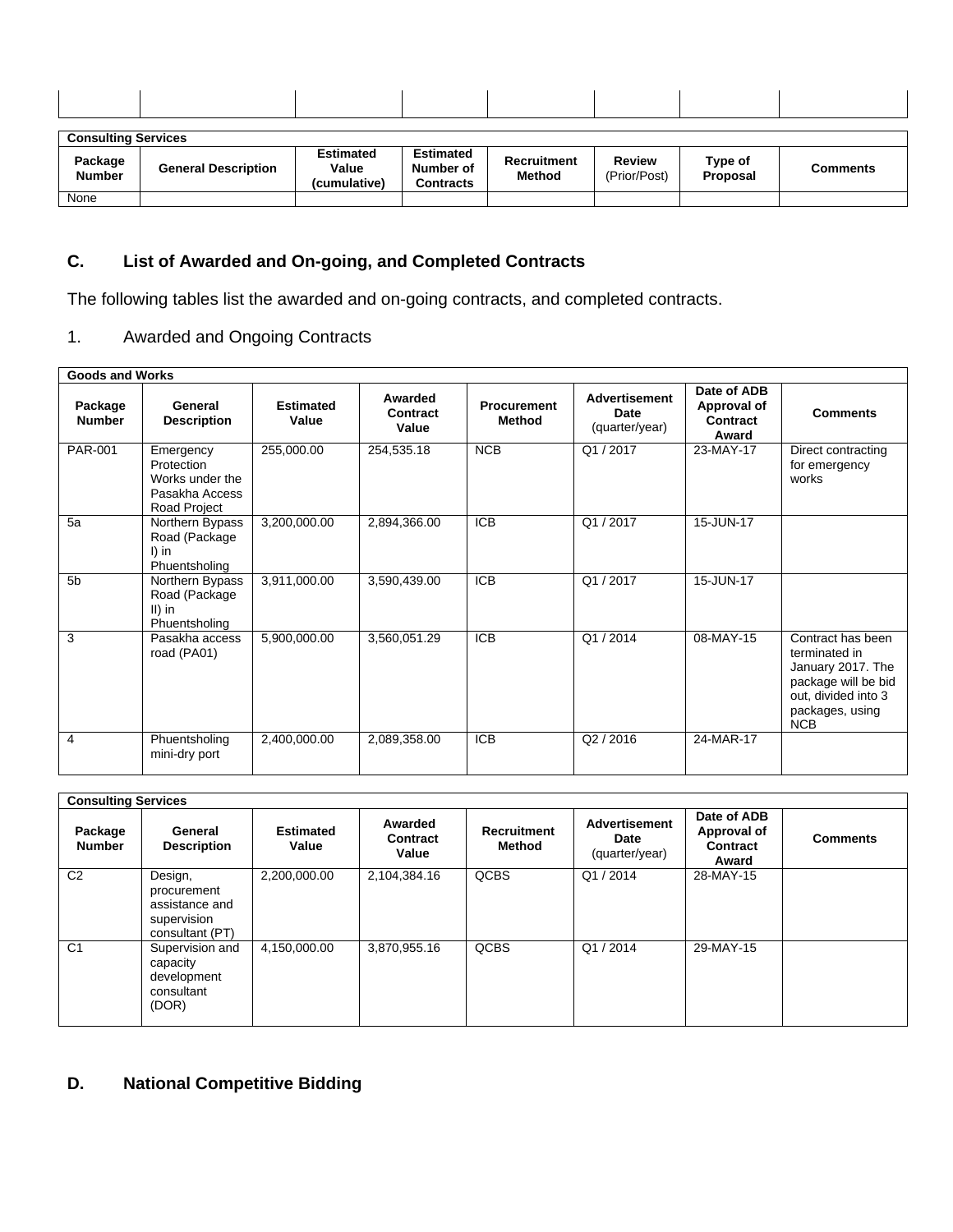|                          | <b>Consulting Services</b> |                                           |                                                   |                                     |                               |                     |                 |  |  |  |
|--------------------------|----------------------------|-------------------------------------------|---------------------------------------------------|-------------------------------------|-------------------------------|---------------------|-----------------|--|--|--|
| Package<br><b>Number</b> | <b>General Description</b> | <b>Estimated</b><br>Value<br>(cumulative) | <b>Estimated</b><br>Number of<br><b>Contracts</b> | <b>Recruitment</b><br><b>Method</b> | <b>Review</b><br>(Prior/Post) | Type of<br>Proposal | <b>Comments</b> |  |  |  |
| None                     |                            |                                           |                                                   |                                     |                               |                     |                 |  |  |  |

# **C. List of Awarded and On-going, and Completed Contracts**

The following tables list the awarded and on-going contracts, and completed contracts.

# 1. Awarded and Ongoing Contracts

| <b>Goods and Works</b>   |                                                                              |                           |                              |                              |                                                |                                                 |                                                                                                                                        |
|--------------------------|------------------------------------------------------------------------------|---------------------------|------------------------------|------------------------------|------------------------------------------------|-------------------------------------------------|----------------------------------------------------------------------------------------------------------------------------------------|
| Package<br><b>Number</b> | General<br><b>Description</b>                                                | <b>Estimated</b><br>Value | Awarded<br>Contract<br>Value | <b>Procurement</b><br>Method | <b>Advertisement</b><br>Date<br>(quarter/year) | Date of ADB<br>Approval of<br>Contract<br>Award | <b>Comments</b>                                                                                                                        |
| <b>PAR-001</b>           | Emergency<br>Protection<br>Works under the<br>Pasakha Access<br>Road Project | 255,000.00                | 254,535.18                   | NCB                          | Q1/2017                                        | 23-MAY-17                                       | Direct contracting<br>for emergency<br>works                                                                                           |
| 5a                       | Northern Bypass<br>Road (Package<br>$I)$ in<br>Phuentsholing                 | 3,200,000.00              | 2,894,366.00                 | $\overline{ICB}$             | Q1/2017                                        | 15-JUN-17                                       |                                                                                                                                        |
| 5 <sub>b</sub>           | Northern Bypass<br>Road (Package<br>$II)$ in<br>Phuentsholing                | 3,911,000.00              | 3,590,439.00                 | <b>ICB</b>                   | Q1/2017                                        | 15-JUN-17                                       |                                                                                                                                        |
| 3                        | Pasakha access<br>road (PA01)                                                | 5,900,000.00              | 3,560,051.29                 | <b>ICB</b>                   | Q1/2014                                        | 08-MAY-15                                       | Contract has been<br>terminated in<br>January 2017. The<br>package will be bid<br>out, divided into 3<br>packages, using<br><b>NCB</b> |
| 4                        | Phuentsholing<br>mini-dry port                                               | 2,400,000.00              | 2,089,358.00                 | $\overline{ICB}$             | Q2 / 2016                                      | 24-MAR-17                                       |                                                                                                                                        |

|                          | <b>Consulting Services</b>                                                 |                           |                                     |                              |                                                |                                                 |                 |  |  |  |  |
|--------------------------|----------------------------------------------------------------------------|---------------------------|-------------------------------------|------------------------------|------------------------------------------------|-------------------------------------------------|-----------------|--|--|--|--|
| Package<br><b>Number</b> | General<br><b>Description</b>                                              | <b>Estimated</b><br>Value | Awarded<br><b>Contract</b><br>Value | <b>Recruitment</b><br>Method | <b>Advertisement</b><br>Date<br>(quarter/year) | Date of ADB<br>Approval of<br>Contract<br>Award | <b>Comments</b> |  |  |  |  |
| C <sub>2</sub>           | Design,<br>procurement<br>assistance and<br>supervision<br>consultant (PT) | 2,200,000.00              | 2,104,384.16                        | <b>QCBS</b>                  | Q1/2014                                        | 28-MAY-15                                       |                 |  |  |  |  |
| C <sub>1</sub>           | Supervision and<br>capacity<br>development<br>consultant<br>(DOR)          | 4,150,000.00              | 3,870,955.16                        | <b>QCBS</b>                  | Q1/2014                                        | 29-MAY-15                                       |                 |  |  |  |  |

# **D. National Competitive Bidding**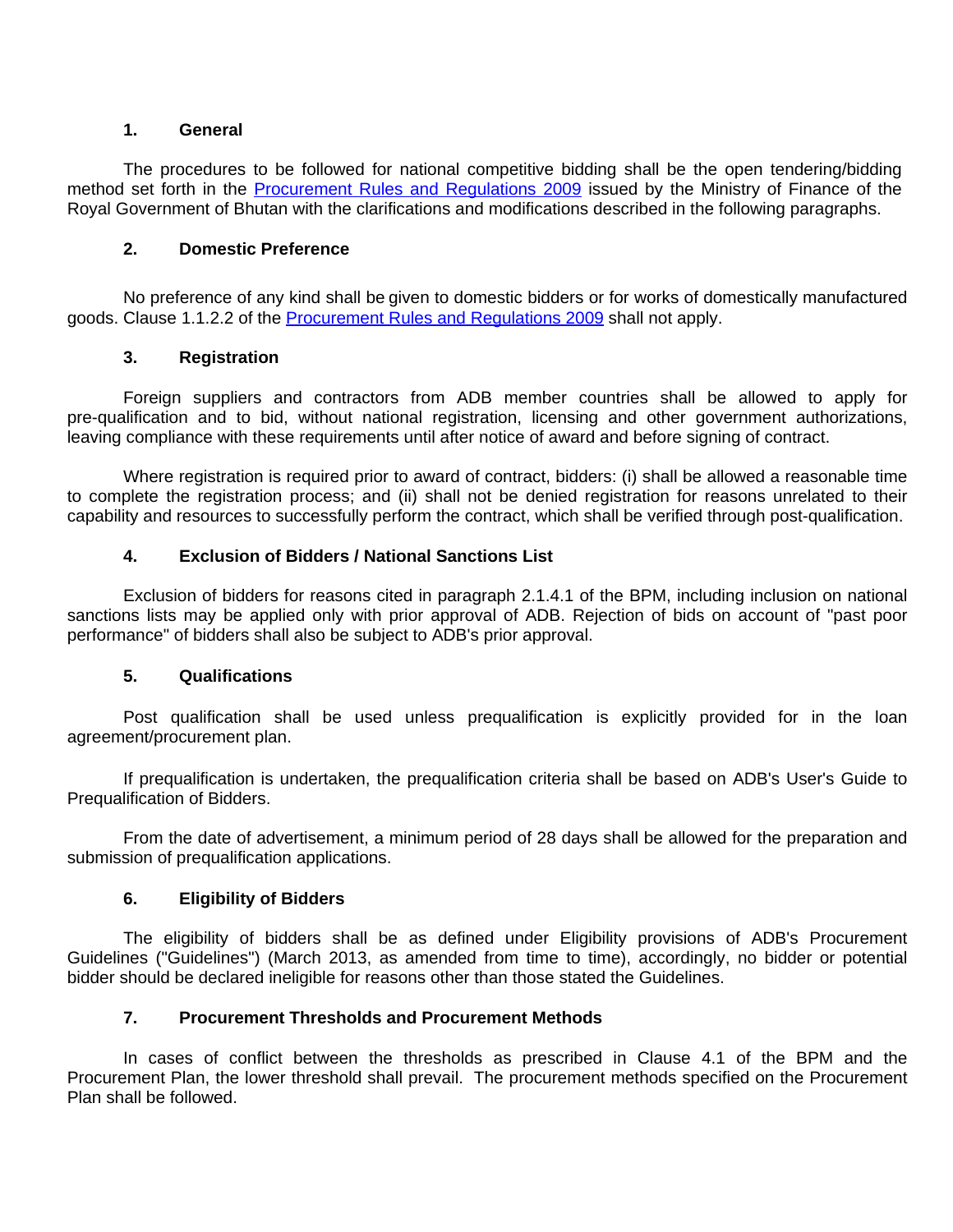#### **1. General**

The procedures to be followed for national competitive bidding shall be the open tendering/bidding method set forth in the [Procurement](http://www.mof.gov.bt/downloads/procurementmanual1.pdf) Rules and Regulations 2009 issued by the Ministry of Finance of the Royal Government of Bhutan with the clarifications and modifications described in the following paragraphs.

#### **2. Domestic Preference**

No preference of any kind shall be given to domestic bidders or for works of domestically manufactured goods. Clause 1.1.2.2 of the [Procurement](http://www.mof.gov.bt/downloads/procurementmanual1.pdf) Rules and Regulations 2009 shall not apply.

### **3. Registration**

Foreign suppliers and contractors from ADB member countries shall be allowed to apply for pre-qualification and to bid, without national registration, licensing and other government authorizations, leaving compliance with these requirements until after notice of award and before signing of contract.

Where registration is required prior to award of contract, bidders: (i) shall be allowed a reasonable time to complete the registration process; and (ii) shall not be denied registration for reasons unrelated to their capability and resources to successfully perform the contract, which shall be verified through post-qualification.

### **4. Exclusion of Bidders / National Sanctions List**

Exclusion of bidders for reasons cited in paragraph 2.1.4.1 of the BPM, including inclusion on national sanctions lists may be applied only with prior approval of ADB. Rejection of bids on account of "past poor performance" of bidders shall also be subject to ADB's prior approval.

## **5. Qualifications**

Post qualification shall be used unless prequalification is explicitly provided for in the loan agreement/procurement plan.

If prequalification is undertaken, the prequalification criteria shall be based on ADB's User's Guide to Prequalification of Bidders.

From the date of advertisement, a minimum period of 28 days shall be allowed for the preparation and submission of prequalification applications.

### **6. Eligibility of Bidders**

The eligibility of bidders shall be as defined under Eligibility provisions of ADB's Procurement Guidelines ("Guidelines") (March 2013, as amended from time to time), accordingly, no bidder or potential bidder should be declared ineligible for reasons other than those stated the Guidelines.

### **7. Procurement Thresholds and Procurement Methods**

In cases of conflict between the thresholds as prescribed in Clause 4.1 of the BPM and the Procurement Plan, the lower threshold shall prevail. The procurement methods specified on the Procurement Plan shall be followed.